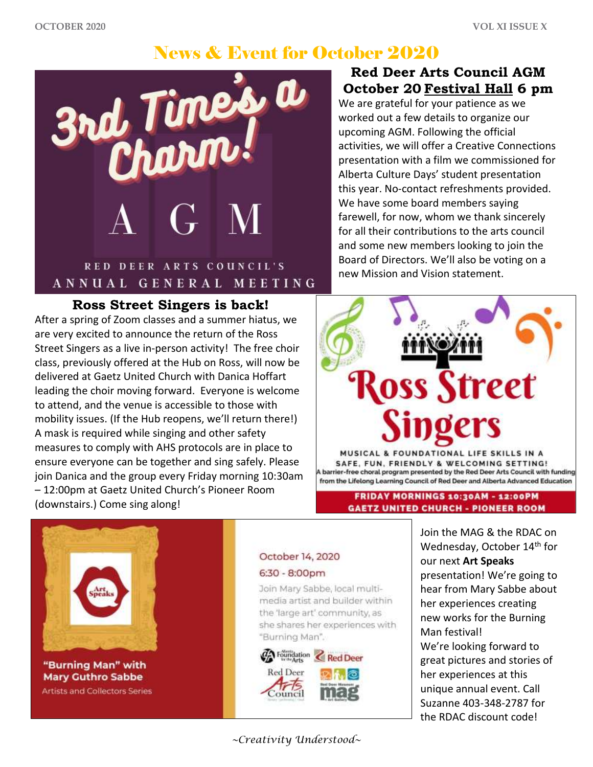# News & Event for October 2020



### **Ross Street Singers is back!**

After a spring of Zoom classes and a summer hiatus, we are very excited to announce the return of the Ross Street Singers as a live in-person activity! The free choir class, previously offered at the Hub on Ross, will now be delivered at Gaetz United Church with Danica Hoffart leading the choir moving forward. Everyone is welcome to attend, and the venue is accessible to those with mobility issues. (If the Hub reopens, we'll return there!) A mask is required while singing and other safety measures to comply with AHS protocols are in place to ensure everyone can be together and sing safely. Please join Danica and the group every Friday morning 10:30am – 12:00pm at Gaetz United Church's Pioneer Room (downstairs.) Come sing along!

## **Red Deer Arts Council AGM October 20 Festival Hall 6 pm**

We are grateful for your patience as we worked out a few details to organize our upcoming AGM. Following the official activities, we will offer a Creative Connections presentation with a film we commissioned for Alberta Culture Days' student presentation this year. No-contact refreshments provided. We have some board members saying farewell, for now, whom we thank sincerely for all their contributions to the arts council and some new members looking to join the Board of Directors. We'll also be voting on a new Mission and Vision statement.

# **loss Street**

MUSICAL & FOUNDATIONAL LIFE SKILLS IN A SAFE, FUN, FRIENDLY & WELCOMING SETTING! barrier-free choral program presented by the Red Deer Arts Council with funding from the Lifelong Learning Council of Red Deer and Alberta Advanced Education

> FRIDAY MORNINGS 10:30AM - 12:00PM **GAETZ UNITED CHURCH - PIONEER ROOM**



"Burning Man" with **Mary Guthro Sabbe Artists and Collectors Series** 

### October 14, 2020  $6:30 - 8:00 \text{pm}$

Join Mary Sabbe, local multimedia artist and builder within the 'large art' community, as she shares her experiences with "Burning Man".



Wednesday, October 14<sup>th</sup> for our next **Art Speaks** presentation! We're going to hear from Mary Sabbe about her experiences creating new works for the Burning Man festival! We're looking forward to great pictures and stories of her experiences at this unique annual event. Call Suzanne 403-348-2787 for

Join the MAG & the RDAC on

the RDAC discount code!

### *~Creativity Understood~*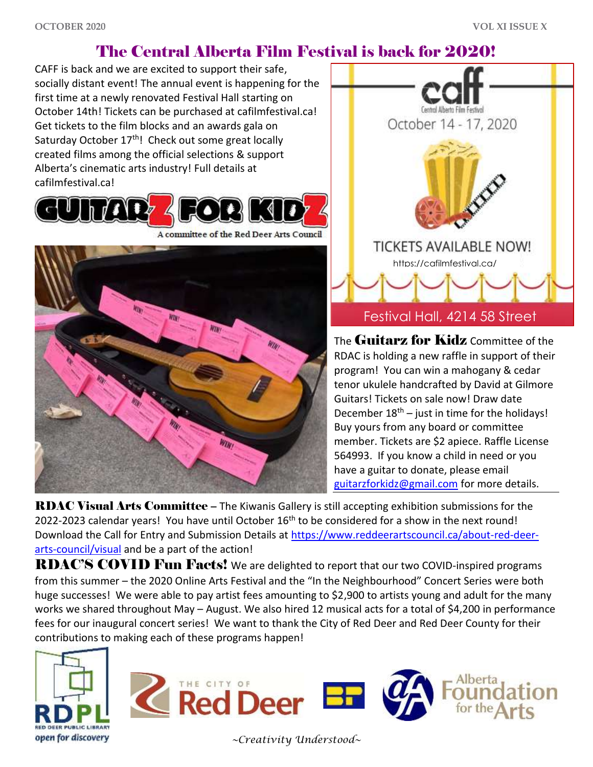# The Central Alberta Film Festival is back for 2020!

CAFF is back and we are excited to support their safe, socially distant event! The annual event is happening for the first time at a newly renovated Festival Hall starting on October 14th! Tickets can be purchased at cafilmfestival.ca! Get tickets to the film blocks and an awards gala on Saturday October 17<sup>th</sup>! Check out some great locally created films among the official selections & support Alberta's cinematic arts industry! Full details at cafilmfestival.ca!



A committee of the Red Deer Arts Council





The Guitarz for Kidz Committee of the RDAC is holding a new raffle in support of their program! You can win a mahogany & cedar tenor ukulele handcrafted by David at Gilmore Guitars! Tickets on sale now! Draw date December  $18<sup>th</sup>$  – just in time for the holidays! Buy yours from any board or committee member. Tickets are \$2 apiece. Raffle License 564993. If you know a child in need or you have a guitar to donate, please email [guitarzforkidz@gmail.com](mailto:guitarzforkidz@gmail.com) for more details.

RDAC Visual Arts Committee – The Kiwanis Gallery is still accepting exhibition submissions for the 2022-2023 calendar years! You have until October 16<sup>th</sup> to be considered for a show in the next round! Download the Call for Entry and Submission Details at [https://www.reddeerartscouncil.ca/about-red-deer](https://www.reddeerartscouncil.ca/about-red-deer-arts-council/visual)[arts-council/visual](https://www.reddeerartscouncil.ca/about-red-deer-arts-council/visual) and be a part of the action!

RDAC'S COVID Fun Facts! We are delighted to report that our two COVID-inspired programs from this summer – the 2020 Online Arts Festival and the "In the Neighbourhood" Concert Series were both huge successes! We were able to pay artist fees amounting to \$2,900 to artists young and adult for the many works we shared throughout May – August. We also hired 12 musical acts for a total of \$4,200 in performance fees for our inaugural concert series! We want to thank the City of Red Deer and Red Deer County for their contributions to making each of these programs happen!





*~Creativity Understood~*